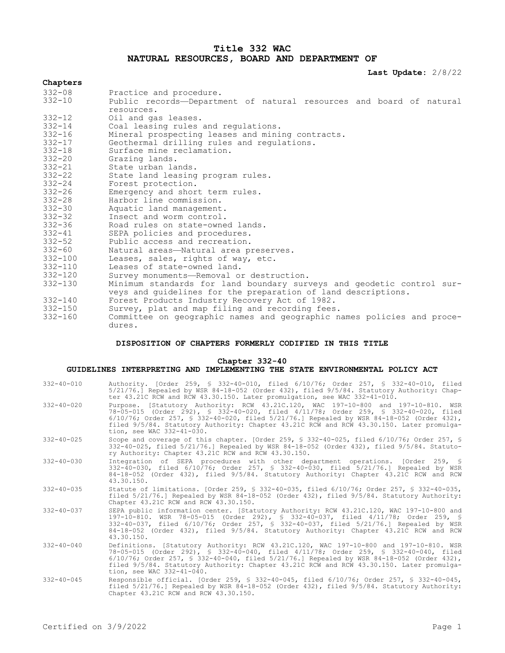# **Title 332 WAC NATURAL RESOURCES, BOARD AND DEPARTMENT OF**

**Last Update:** 2/8/22

## **Chapters**

| $332 - 08$  | Practice and procedure.                                                |
|-------------|------------------------------------------------------------------------|
| $332 - 10$  | Public records-Department of natural resources and board of natural    |
|             | resources.                                                             |
| $332 - 12$  | Oil and gas leases.                                                    |
| $332 - 14$  | Coal leasing rules and regulations.                                    |
| $332 - 16$  | Mineral prospecting leases and mining contracts.                       |
| $332 - 17$  | Geothermal drilling rules and regulations.                             |
| $332 - 18$  | Surface mine reclamation.                                              |
| $332 - 20$  | Grazing lands.                                                         |
| $332 - 21$  | State urban lands.                                                     |
| $332 - 22$  | State land leasing program rules.                                      |
| $332 - 24$  | Forest protection.                                                     |
| $332 - 26$  | Emergency and short term rules.                                        |
| $332 - 28$  | Harbor line commission.                                                |
| $332 - 30$  | Aquatic land management.                                               |
| $332 - 32$  | Insect and worm control.                                               |
| $332 - 36$  | Road rules on state-owned lands.                                       |
| $332 - 41$  | SEPA policies and procedures.                                          |
| $332 - 52$  | Public access and recreation.                                          |
| $332 - 60$  | Natural areas-Natural area preserves.                                  |
| $332 - 100$ | Leases, sales, rights of way, etc.                                     |
| $332 - 110$ | Leases of state-owned land.                                            |
| $332 - 120$ | Survey monuments-Removal or destruction.                               |
| $332 - 130$ | Minimum standards for land boundary surveys and geodetic control sur-  |
|             | veys and quidelines for the preparation of land descriptions.          |
| $332 - 140$ | Forest Products Industry Recovery Act of 1982.                         |
| $332 - 150$ | Survey, plat and map filing and recording fees.                        |
| $332 - 160$ | Committee on geographic names and geographic names policies and proce- |
|             | dures.                                                                 |

## **DISPOSITION OF CHAPTERS FORMERLY CODIFIED IN THIS TITLE**

### **Chapter 332-40**

# **GUIDELINES INTERPRETING AND IMPLEMENTING THE STATE ENVIRONMENTAL POLICY ACT**

| $332 - 40 - 010$ | Authority. [Order 259, § 332-40-010, filed 6/10/76; Order 257, § 332-40-010, filed<br>5/21/76.] Repealed by WSR 84-18-052 (Order 432), filed 9/5/84. Statutory Authority: Chap-<br>ter 43.21C RCW and RCW 43.30.150. Later promulgation, see WAC 332-41-010.                                                                                                                                        |
|------------------|-----------------------------------------------------------------------------------------------------------------------------------------------------------------------------------------------------------------------------------------------------------------------------------------------------------------------------------------------------------------------------------------------------|
| $332 - 40 - 020$ | Purpose. [Statutory Authority: RCW 43.21C.120, WAC 197-10-800 and 197-10-810. WSR<br>78-05-015 (Order 292), § 332-40-020, filed 4/11/78; Order 259, § 332-40-020, filed<br>6/10/76; Order 257, § 332-40-020, filed 5/21/76.] Repealed by WSR 84-18-052 (Order 432),<br>filed 9/5/84. Statutory Authority: Chapter 43.21C RCW and RCW 43.30.150. Later promulga-<br>tion, see WAC 332-41-030.        |
| $332 - 40 - 025$ | Scope and coverage of this chapter. [Order 259, § 332-40-025, filed $6/10/76$ ; Order 257, §<br>332-40-025, filed 5/21/76.] Repealed by WSR 84-18-052 (Order 432), filed 9/5/84. Statuto-<br>ry Authority: Chapter 43.21C RCW and RCW 43.30.150.                                                                                                                                                    |
| $332 - 40 - 030$ | Integration of SEPA procedures with other department operations. [Order 259, §<br>332-40-030, filed 6/10/76; Order 257, § 332-40-030, filed 5/21/76.] Repealed by WSR<br>84-18-052 (Order 432), filed 9/5/84. Statutory Authority: Chapter 43.21C RCW and RCW<br>43.30.150.                                                                                                                         |
| $332 - 40 - 035$ | Statute of limitations. [Order 259, § 332-40-035, filed 6/10/76; Order 257, § 332-40-035,<br>filed 5/21/76.] Repealed by WSR 84-18-052 (Order 432), filed 9/5/84. Statutory Authority:<br>Chapter 43.21C RCW and RCW 43.30.150.                                                                                                                                                                     |
| $332 - 40 - 037$ | SEPA public information center. [Statutory Authority: RCW 43.21C.120, WAC 197-10-800 and<br>197-10-810. WSR 78-05-015 (Order 292), § 332-40-037, filed 4/11/78; Order 259, §<br>332-40-037, filed 6/10/76; Order 257, § 332-40-037, filed 5/21/76.] Repealed by WSR<br>84-18-052 (Order 432), filed 9/5/84. Statutory Authority: Chapter 43.21C RCW and RCW<br>43.30.150.                           |
| $332 - 40 - 040$ | Definitions. [Statutory Authority: RCW 43.21C.120, WAC 197-10-800 and 197-10-810. WSR<br>78-05-015 (Order 292), § 332-40-040, filed 4/11/78; Order 259, § 332-40-040, filed<br>$6/10/76$ ; Order 257, § 332-40-040, filed 5/21/76.] Repealed by WSR 84-18-052 (Order 432),<br>filed 9/5/84. Statutory Authority: Chapter 43.21C RCW and RCW 43.30.150. Later promulga-<br>tion, see WAC 332-41-040. |
| $332 - 40 - 045$ | Responsible official. [Order 259, § 332-40-045, filed 6/10/76; Order 257, § 332-40-045,<br>filed 5/21/76.1 Repealed by WSR 84-18-052 (Order 432), filed 9/5/84. Statutory Authority:<br>Chapter 43.21C RCW and RCW 43.30.150.                                                                                                                                                                       |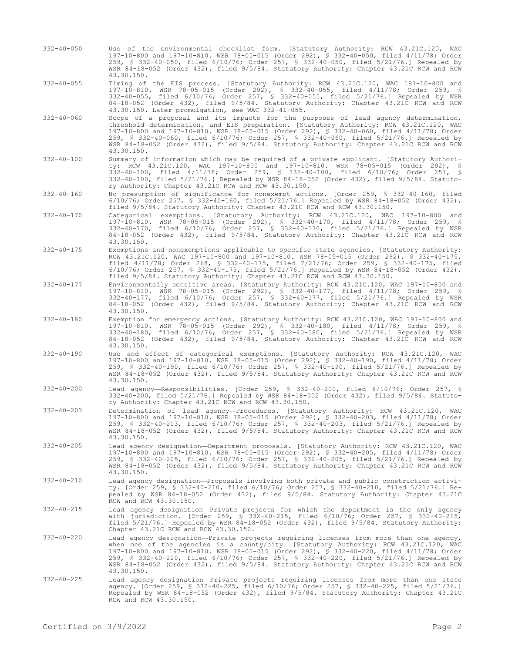- 332-40-050 Use of the environmental checklist form. [Statutory Authority: RCW 43.21C.120, WAC 197-10-800 and 197-10-810. WSR 78-05-015 (Order 292), § 332-40-050, filed 4/11/78; Order 259, § 332-40-050, filed 6/10/76; Order 257, § 332-40-050, filed 5/21/76.] Repealed by WSR 84-18-052 (Order 432), filed 9/5/84. Statutory Authority: Chapter 43.21C RCW and RCW 43.30.150.
- 332-40-055 Timing of the EIS process. [Statutory Authority: RCW 43.21C.120, WAC 197-10-800 and 197-10-810. WSR 78-05-015 (Order 292), § 332-40-055, filed 4/11/78; Order 259, § 332-40-055, filed 6/10/76; Order 257, § 332-40-055, filed 5/21/76.] Repealed by WSR 84-18-052 (Order 432), filed 9/5/84. Statutory Authority: Chapter 43.21C RCW and RCW 43.30.150. Later promulgation, see WAC 332-41-055.
- 332-40-060 Scope of a proposal and its impacts for the purposes of lead agency determination, threshold determination, and EIS preparation. [Statutory Authority: RCW 43.21C.120, WAC 197-10-800 and 197-10-810. WSR 78-05-015 (Order 292), § 332-40-060, filed 4/11/78; Order 259, § 332-40-060, filed 6/10/76; Order 257, § 332-40-060, filed 5/21/76.] Repealed by WSR 84-18-052 (Order 432), filed 9/5/84. Statutory Authority: Chapter 43.21C RCW and RCW 43.30.150.
- 332-40-100 Summary of information which may be required of a private applicant. [Statutory Authority: RCW 43.21C.120, WAC 197-10-800 and 197-10-810. WSR 78-05-015 (Order 292), § 332-40-100, filed 4/11/78; Order 259, § 332-40-100, filed 6/10/76; Order 257, § 332-40-100, filed 5/21/76.] Repealed by WSR 84-18-052 (Order 432), filed 9/5/84. Statutory Authority: Chapter 43.21C RCW and RCW 43.30.150.
- 332-40-160 No presumption of significance for nonexempt actions. [Order 259, § 332-40-160, filed 6/10/76; Order 257, § 332-40-160, filed 5/21/76.] Repealed by WSR 84-18-052 (Order 432), filed 9/5/84. Statutory Authority: Chapter 43.21C RCW and RCW 43.30.150.
- 332-40-170 Categorical exemptions. [Statutory Authority: RCW 43.21C.120, WAC 197-10-800 and 197-10-810. WSR 78-05-015 (Order 292), § 332-40-170, filed 4/11/78; Order 259, § 332-40-170, filed 6/10/76; Order 257, § 332-40-170, filed 5/21/76.] Repealed by WSR 84-18-052 (Order 432), filed 9/5/84. Statutory Authority: Chapter 43.21C RCW and RCW 43.30.150.
- 332-40-175 Exemptions and nonexemptions applicable to specific state agencies. [Statutory Authority: RCW 43.21C.120, WAC 197-10-800 and 197-10-810. WSR 78-05-015 (Order 292), § 332-40-175, filed 4/11/78; Order 268, § 332-40-175, filed 7/21/76; Order 259, § 332-40-175, filed 6/10/76; Order 257, § 332-40-175, filed 5/21/76.] Repealed by WSR 84-18-052 (Order 432), filed 9/5/84. Statutory Authority: Chapter 43.21C RCW and RCW 43.30.150.
- 332-40-177 Environmentally sensitive areas. [Statutory Authority: RCW 43.21C.120, WAC 197-10-800 and 197-10-810. WSR 78-05-015 (Order 292), § 332-40-177, filed 4/11/78; Order 259, § 332-40-177, filed 6/10/76; Order 257, § 332-40-177, filed 5/21/76.] Repealed by WSR 84-18-052 (Order 432), filed 9/5/84. Statutory Authority: Chapter 43.21C RCW and RCW 43.30.150.
- 332-40-180 Exemption for emergency actions. [Statutory Authority: RCW 43.21C.120, WAC 197-10-800 and 197-10-810. WSR 78-05-015 (Order 292), § 332-40-180, filed 4/11/78; Order 259, § 332-40-180, filed 6/10/76; Order 257, § 332-40-180, filed 5/21/76.] Repealed by WSR 84-18-052 (Order 432), filed 9/5/84. Statutory Authority: Chapter 43.21C RCW and RCW 43.30.150.
- 332-40-190 Use and effect of categorical exemptions. [Statutory Authority: RCW 43.21C.120, WAC 197-10-800 and 197-10-810. WSR 78-05-015 (Order 292), § 332-40-190, filed 4/11/78; Order 259, § 332-40-190, filed 6/10/76; Order 257, § 332-40-190, filed 5/21/76.] Repealed by WSR 84-18-052 (Order 432), filed 9/5/84. Statutory Authority: Chapter 43.21C RCW and RCW 43.30.150.
- 332-40-200 Lead agency—Responsibilities. [Order 259, § 332-40-200, filed 6/10/76; Order 257, § 332-40-200, filed 5/21/76.] Repealed by WSR 84-18-052 (Order 432), filed 9/5/84. Statutory Authority: Chapter 43.21C RCW and RCW 43.30.150.
- 332-40-203 Determination of lead agency—Procedures. [Statutory Authority: RCW 43.21C.120, WAC 197-10-800 and 197-10-810. WSR 78-05-015 (Order 292), § 332-40-203, filed 4/11/78; Order 259, § 332-40-203, filed 6/10/76; Order 257, § 332-40-203, filed 5/21/76.] Repealed by WSR 84-18-052 (Order 432), filed 9/5/84. Statutory Authority: Chapter 43.21C RCW and RCW 43.30.150.
- 332-40-205 Lead agency designation—Department proposals. [Statutory Authority: RCW 43.21C.120, WAC 197-10-800 and 197-10-810. WSR 78-05-015 (Order 292), § 332-40-205, filed 4/11/78; Order 259, § 332-40-205, filed 6/10/76; Order 257, § 332-40-205, filed 5/21/76.] Repealed by WSR 84-18-052 (Order 432), filed 9/5/84. Statutory Authority: Chapter 43.21C RCW and RCW 43.30.150.
- 332-40-210 Lead agency designation—Proposals involving both private and public construction activity. [Order 259, § 332-40-210, filed 6/10/76; Order 257, § 332-40-210, filed 5/21/76.] Repealed by WSR 84-18-052 (Order 432), filed 9/5/84. Statutory Authority: Chapter 43.21C RCW and RCW 43.30.150.
- 332-40-215 Lead agency designation—Private projects for which the department is the only agency with jurisdiction. [Order 259, § 332-40-215, filed 6/10/76; Order 257, § 332-40-215, filed 5/21/76.] Repealed by WSR 84-18-052 (Order 432), filed 9/5/84. Statutory Authority: Chapter 43.21C RCW and RCW 43.30.150.
- Lead agency designation—Private projects requiring licenses from more than one agency,<br>when one of the agencies is a county/city. [Statutory Authority: RCW 43.21C.120, WAC<br>197-10-800 and 197-10-810. WSR 78-05-015 (Order 29 259, § 332-40-220, filed 6/10/76; Order 257, § 332-40-220, filed 5/21/76.] Repealed by WSR 84-18-052 (Order 432), filed 9/5/84. Statutory Authority: Chapter 43.21C RCW and RCW 43.30.150.
- 332-40-225 Lead agency designation—Private projects requiring licenses from more than one state agency. [Order 259, § 332-40-225, filed 6/10/76; Order 257, § 332-40-225, filed 5/21/76.] Repealed by WSR 84-18-052 (Order 432), filed 9/5/84. Statutory Authority: Chapter 43.21C RCW and RCW 43.30.150.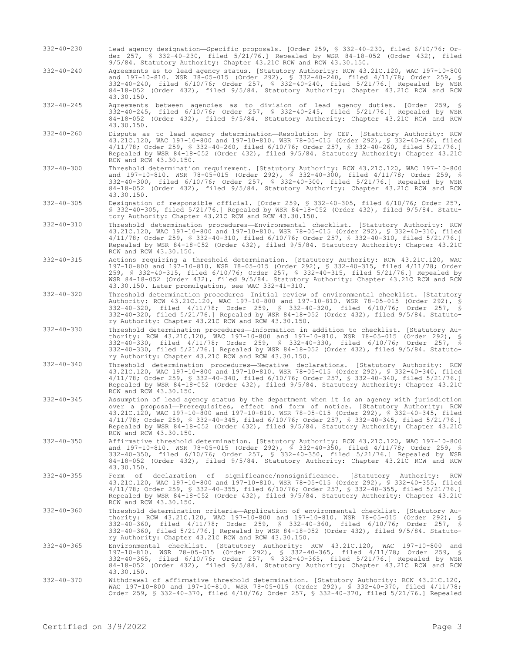- 332-40-230 Lead agency designation—Specific proposals. [Order 259, § 332-40-230, filed 6/10/76; Order 257, § 332-40-230, filed 5/21/76.] Repealed by WSR 84-18-052 (Order 432), filed 9/5/84. Statutory Authority: Chapter 43.21C RCW and RCW 43.30.150.
- 332-40-240 Agreements as to lead agency status. [Statutory Authority: RCW 43.21C.120, WAC 197-10-800 and 197-10-810. WSR 78-05-015 (Order 292), § 332-40-240, filed 4/11/78; Order 259, § 332-40-240, filed 6/10/76; Order 257, § 332-40-240, filed 5/21/76.] Repealed by WSR 84-18-052 (Order 432), filed 9/5/84. Statutory Authority: Chapter 43.21C RCW and RCW 43.30.150.
- 332-40-245 Agreements between agencies as to division of lead agency duties. [Order 259, § 332-40-245, filed 6/10/76; Order 257, § 332-40-245, filed 5/21/76.] Repealed by WSR 84-18-052 (Order 432), filed 9/5/84. Statutory Authority: Chapter 43.21C RCW and RCW 43.30.150.
- 332-40-260 Dispute as to lead agency determination—Resolution by CEP. [Statutory Authority: RCW 43.21C.120, WAC 197-10-800 and 197-10-810. WSR 78-05-015 (Order 292), § 332-40-260, filed 4/11/78; Order 259, § 332-40-260, filed 6/10/76; Order 257, § 332-40-260, filed 5/21/76.] Repealed by WSR 84-18-052 (Order 432), filed 9/5/84. Statutory Authority: Chapter 43.21C RCW and RCW 43.30.150.
- 332-40-300 Threshold determination requirement. [Statutory Authority: RCW 43.21C.120, WAC 197-10-800 and 197-10-810. WSR 78-05-015 (Order 292), § 332-40-300, filed 4/11/78; Order 259, § 332-40-300, filed 6/10/76; Order 257, § 332-40-300, filed 5/21/76.] Repealed by WSR 84-18-052 (Order 432), filed 9/5/84. Statutory Authority: Chapter 43.21C RCW and RCW 43.30.150.
- 332-40-305 Designation of responsible official. [Order 259, § 332-40-305, filed 6/10/76; Order 257, § 332-40-305, filed 5/21/76.] Repealed by WSR 84-18-052 (Order 432), filed 9/5/84. Statutory Authority: Chapter 43.21C RCW and RCW 43.30.150.
- 332-40-310 Threshold determination procedures—Environmental checklist. [Statutory Authority: RCW 43.21C.120, WAC 197-10-800 and 197-10-810. WSR 78-05-015 (Order 292), § 332-40-310, filed 4/11/78; Order 259, § 332-40-310, filed 6/10/76; Order 257, § 332-40-310, filed 5/21/76.] Repealed by WSR 84-18-052 (Order 432), filed 9/5/84. Statutory Authority: Chapter 43.21C RCW and RCW 43.30.150.
- 332-40-315 Actions requiring a threshold determination. [Statutory Authority: RCW 43.21C.120, WAC 197-10-800 and 197-10-810. WSR 78-05-015 (Order 292), § 332-40-315, filed 4/11/78; Order 259, § 332-40-315, filed 6/10/76; Order 257, § 332-40-315, filed 5/21/76.] Repealed by WSR 84-18-052 (Order 432), filed 9/5/84. Statutory Authority: Chapter 43.21C RCW and RCW 43.30.150. Later promulgation, see WAC 332-41-310.
- 332-40-320 Threshold determination procedures—Initial review of environmental checklist. [Statutory Authority: RCW 43.21C.120, WAC 197-10-800 and 197-10-810. WSR 78-05-015 (Order 292), § 332-40-320, filed 4/11/78; Order 259, § 332-40-320, filed 6/10/76; Order 257, § 332-40-320, filed 5/21/76.] Repealed by WSR 84-18-052 (Order 432), filed 9/5/84. Statutory Authority: Chapter 43.21C RCW and RCW 43.30.150.
- 332-40-330 Threshold determination procedures—Information in addition to checklist. [Statutory Authority: RCW 43.21C.120, WAC 197-10-800 and 197-10-810. WSR 78-05-015 (Order 292), § 332-40-330, filed 4/11/78; Order 259, § 332-40-330, filed 6/10/76; Order 257, § 332-40-330, filed 5/21/76.] Repealed by WSR 84-18-052 (Order 432), filed 9/5/84. Statutory Authority: Chapter 43.21C RCW and RCW 43.30.150.
- 332-40-340 Threshold determination procedures—Negative declarations. [Statutory Authority: RCW 43.21C.120, WAC 197-10-800 and 197-10-810. WSR 78-05-015 (Order 292), § 332-40-340, filed 4/11/78; Order 259, § 332-40-340, filed 6/10/76; Order 257, § 332-40-340, filed 5/21/76.] Repealed by WSR 84-18-052 (Order 432), filed 9/5/84. Statutory Authority: Chapter 43.21C RCW and RCW 43.30.150.
- 332-40-345 Assumption of lead agency status by the department when it is an agency with jurisdiction over a proposal—Prerequisites, effect and form of notice. [Statutory Authority: RCW 43.21C.120, WAC 197-10-800 and 197-10-810. WSR 78-05-015 (Order 292), § 332-40-345, filed 4/11/78; Order 259, § 332-40-345, filed 6/10/76; Order 257, § 332-40-345, filed 5/21/76.] Repealed by WSR 84-18-052 (Order 432), filed 9/5/84. Statutory Authority: Chapter 43.21C RCW and RCW 43.30.150.
- 332-40-350 Affirmative threshold determination. [Statutory Authority: RCW 43.21C.120, WAC 197-10-800 and 197-10-810. WSR 78-05-015 (Order 292), § 332-40-350, filed 4/11/78; Order 259, § 332-40-350, filed 6/10/76; Order 257, § 332-40-350, filed 5/21/76.] Repealed by WSR 84-18-052 (Order 432), filed 9/5/84. Statutory Authority: Chapter 43.21C RCW and RCW 43.30.150.
- 332-40-355 Form of declaration of significance/nonsignificance. [Statutory Authority: RCW 43.21C.120, WAC 197-10-800 and 197-10-810. WSR 78-05-015 (Order 292), § 332-40-355, filed 4/11/78; Order 259, § 332-40-355, filed 6/10/76; Order 257, § 332-40-355, filed 5/21/76.] Repealed by WSR 84-18-052 (Order 432), filed 9/5/84. Statutory Authority: Chapter 43.21C RCW and RCW 43.30.150.
- 332-40-360 Threshold determination criteria—Application of environmental checklist. [Statutory Authority: RCW 43.21C.120, WAC 197-10-800 and 197-10-810. WSR 78-05-015 (Order 292), § 332-40-360, filed 4/11/78; Order 259, § 332-40-360, filed 6/10/76; Order 257, § 332-40-360, filed 5/21/76.] Repealed by WSR 84-18-052 (Order 432), filed 9/5/84. Statutory Authority: Chapter 43.21C RCW and RCW 43.30.150.
- 332-40-365 Environmental checklist. [Statutory Authority: RCW 43.21C.120, WAC 197-10-800 and 197-10-810. WSR 78-05-015 (Order 292), § 332-40-365, filed 4/11/78; Order 259, § 332-40-365, filed 6/10/76; Order 257, § 332-40-365, filed 5/21/76.] Repealed by WSR 84-18-052 (Order 432), filed 9/5/84. Statutory Authority: Chapter 43.21C RCW and RCW 43.30.150.
- 332-40-370 Withdrawal of affirmative threshold determination. [Statutory Authority: RCW 43.21C.120, WAC 197-10-800 and 197-10-810. WSR 78-05-015 (Order 292), § 332-40-370, filed 4/11/78; Order 259, § 332-40-370, filed 6/10/76; Order 257, § 332-40-370, filed 5/21/76.] Repealed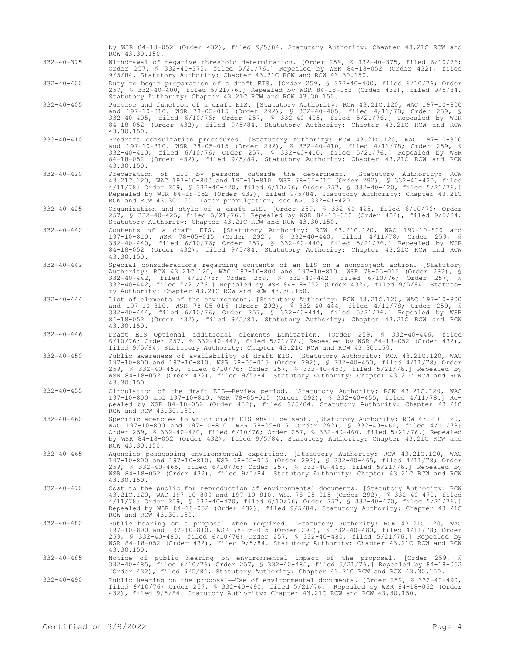|                  | by WSR 84-18-052 (Order 432), filed 9/5/84. Statutory Authority: Chapter 43.21C RCW and<br>RCW 43.30.150.                                                                                                                                                                                                                                                                                                                                  |
|------------------|--------------------------------------------------------------------------------------------------------------------------------------------------------------------------------------------------------------------------------------------------------------------------------------------------------------------------------------------------------------------------------------------------------------------------------------------|
| $332 - 40 - 375$ | Withdrawal of negative threshold determination. [Order 259, § 332-40-375, filed 6/10/76;<br>Order 257, § 332-40-375, filed 5/21/76.] Repealed by WSR 84-18-052 (Order 432), filed<br>9/5/84. Statutory Authority: Chapter 43.21C RCW and RCW 43.30.150.                                                                                                                                                                                    |
| $332 - 40 - 400$ | Duty to begin preparation of a draft EIS. [Order 259, § 332-40-400, filed 6/10/76; Order<br>257, § 332-40-400, filed 5/21/76.] Repealed by WSR 84-18-052 (Order 432), filed 9/5/84.<br>Statutory Authority: Chapter 43.21C RCW and RCW 43.30.150.                                                                                                                                                                                          |
| $332 - 40 - 405$ | Purpose and function of a draft EIS. [Statutory Authority: RCW 43.21C.120, WAC 197-10-800<br>and 197-10-810. WSR 78-05-015 (Order 292), § 332-40-405, filed 4/11/78; Order 259, §<br>332-40-405, filed 6/10/76; Order 257, § 332-40-405, filed 5/21/76.] Repealed by WSR<br>84-18-052 (Order 432), filed 9/5/84. Statutory Authority: Chapter 43.21C RCW and RCW<br>43.30.150.                                                             |
| $332 - 40 - 410$ | Predraft consultation procedures. [Statutory Authority: RCW 43.21C.120, WAC 197-10-800<br>and 197-10-810. WSR 78-05-015 (Order 292), § 332-40-410, filed 4/11/78; Order 259, §<br>332-40-410, filed 6/10/76; Order 257, § 332-40-410, filed 5/21/76.] Repealed by WSR<br>84-18-052 (Order 432), filed 9/5/84. Statutory Authority: Chapter 43.21C RCW and RCW<br>43.30.150.                                                                |
| $332 - 40 - 420$ | Preparation of EIS by persons outside the department. [Statutory Authority: RCW<br>43.21C.120, WAC 197-10-800 and 197-10-810. WSR 78-05-015 (Order 292), § 332-40-420, filed<br>$4/11/78$ ; Order 259, § 332-40-420, filed 6/10/76; Order 257, § 332-40-420, filed 5/21/76.]<br>Repealed by WSR 84-18-052 (Order 432), filed 9/5/84. Statutory Authority: Chapter 43.21C<br>RCW and RCW 43.30.150. Later promulgation, see WAC 332-41-420. |
| $332 - 40 - 425$ | Organization and style of a draft EIS. [Order 259, § 332-40-425, filed 6/10/76; Order<br>257, § 332-40-425, filed 5/21/76.] Repealed by WSR 84-18-052 (Order 432), filed 9/5/84.<br>Statutory Authority: Chapter 43.21C RCW and RCW 43.30.150.                                                                                                                                                                                             |
| $332 - 40 - 440$ | Contents of a draft EIS. [Statutory Authority: RCW 43.21C.120, WAC 197-10-800 and<br>197-10-810. WSR 78-05-015 (Order 292), § 332-40-440, filed 4/11/78; Order 259, §<br>332-40-440, filed 6/10/76; Order 257, \$ 332-40-440, filed 5/21/76.] Repealed by WSR<br>84-18-052 (Order 432), filed 9/5/84. Statutory Authority: Chapter 43.21C RCW and RCW<br>43.30.150.                                                                        |
| $332 - 40 - 442$ | Special considerations regarding contents of an EIS on a nonproject action. [Statutory<br>Authority: RCW 43.21C.120, WAC 197-10-800 and 197-10-810. WSR 78-05-015 (Order 292), §<br>332-40-442, filed 4/11/78; Order 259, § 332-40-442, filed 6/10/76; Order 257, §<br>332-40-442, filed 5/21/76.] Repealed by WSR 84-18-052 (Order 432), filed 9/5/84. Statuto-<br>ry Authority: Chapter 43.21C RCW and RCW 43.30.150.                    |
| $332 - 40 - 444$ | List of elements of the environment. [Statutory Authority: RCW 43.21C.120, WAC 197-10-800<br>and 197-10-810. WSR 78-05-015 (Order 292), § 332-40-444, filed 4/11/78; Order 259, §<br>332-40-444, filed 6/10/76; Order 257, § 332-40-444, filed 5/21/76.] Repealed by WSR<br>84-18-052 (Order 432), filed 9/5/84. Statutory Authority: Chapter 43.21C RCW and RCW<br>43.30.150.                                                             |
| $332 - 40 - 446$ | Draft EIS-Optional additional elements-Limitation. [Order 259, § 332-40-446, filed<br>$6/10/76$ ; Order 257, § 332-40-446, filed 5/21/76.] Repealed by WSR 84-18-052 (Order 432),<br>filed 9/5/84. Statutory Authority: Chapter 43.21C RCW and RCW 43.30.150.                                                                                                                                                                              |
| $332 - 40 - 450$ | Public awareness of availability of draft EIS. [Statutory Authority: RCW 43.21C.120, WAC<br>197-10-800 and 197-10-810. WSR 78-05-015 (Order 292), § 332-40-450, filed 4/11/78; Order<br>259, § 332-40-450, filed 6/10/76; Order 257, § 332-40-450, filed 5/21/76.] Repealed by<br>WSR 84-18-052 (Order 432), filed 9/5/84. Statutory Authority: Chapter 43.21C RCW and RCW<br>43.30.150.                                                   |
| $332 - 40 - 455$ | Circulation of the draft EIS-Review period. [Statutory Authority: RCW 43.21C.120, WAC<br>197-10-800 and 197-10-810. WSR 78-05-015 (Order 292), § 332-40-455, filed 4/11/78.] Re-<br>pealed by WSR 84-18-052 (Order 432), filed 9/5/84. Statutory Authority: Chapter 43.21C<br>RCW and RCW 43.30.150.                                                                                                                                       |
| $332 - 40 - 460$ | Specific agencies to which draft EIS shall be sent. [Statutory Authority: RCW 43.21C.120,<br>WAC 197-10-800 and 197-10-810. WSR 78-05-015 (Order 292), § 332-40-460, filed 4/11/78;<br>Order 259, § 332-40-460, filed 6/10/76; Order 257, § 332-40-460, filed 5/21/76.] Repealed<br>by WSR 84-18-052 (Order 432), filed 9/5/84. Statutory Authority: Chapter 43.21C RCW and<br>RCW 43.30.150.                                              |
| $332 - 40 - 465$ | Agencies possessing environmental expertise. [Statutory Authority: RCW 43.21C.120, WAC<br>197-10-800 and 197-10-810. WSR 78-05-015 (Order 292), § 332-40-465, filed 4/11/78; Order<br>259, § 332-40-465, filed 6/10/76; Order 257, § 332-40-465, filed 5/21/76.] Repealed by<br>WSR 84-18-052 (Order 432), filed 9/5/84. Statutory Authority: Chapter 43.21C RCW and RCW<br>43.30.150.                                                     |
| $332 - 40 - 470$ | Cost to the public for reproduction of environmental documents. [Statutory Authority: RCW<br>43.21C.120, WAC 197-10-800 and 197-10-810. WSR 78-05-015 (Order 292), § 332-40-470, filed<br>4/11/78; Order 259, § 332-40-470, filed 6/10/76; Order 257, § 332-40-470, filed 5/21/76.]<br>Repealed by WSR 84-18-052 (Order 432), filed 9/5/84. Statutory Authority: Chapter 43.21C<br>RCW and RCW 43.30.150.                                  |
| $332 - 40 - 480$ | Public hearing on a proposal—When required. [Statutory Authority: RCW 43.21C.120, WAC<br>197-10-800 and 197-10-810. WSR 78-05-015 (Order 292), § 332-40-480, filed 4/11/78; Order<br>259, § 332-40-480, filed 6/10/76; Order 257, § 332-40-480, filed 5/21/76.] Repealed by<br>WSR 84-18-052 (Order 432), filed 9/5/84. Statutory Authority: Chapter 43.21C RCW and RCW<br>43.30.150.                                                      |
| $332 - 40 - 485$ | Notice of public hearing on environmental impact of the proposal. [Order 259, §<br>332-40-485, filed 6/10/76, Order 257, § 332-40-485, filed 5/21/76.] Repealed by 84-18-052<br>(Order 432), filed 9/5/84. Statutory Authority: Chapter 43.21C RCW and RCW 43.30.150.                                                                                                                                                                      |
| $332 - 40 - 490$ | Public hearing on the proposal—Use of environmental documents. [Order 259, § 332-40-490,<br>filed $6/10/76$ ; Order 257, § 332-40-490, filed 5/21/76.] Repealed by WSR 84-18-052 (Order<br>432), filed 9/5/84. Statutory Authority: Chapter 43.21C RCW and RCW 43.30.150.                                                                                                                                                                  |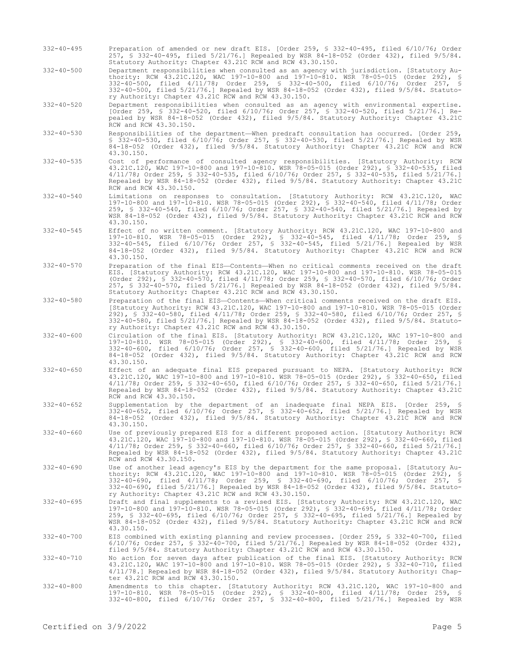- 332-40-495 Preparation of amended or new draft EIS. [Order 259, § 332-40-495, filed 6/10/76; Order 257, § 332-40-495, filed 5/21/76.] Repealed by WSR 84-18-052 (Order 432), filed 9/5/84. Statutory Authority: Chapter 43.21C RCW and RCW 43.30.150.
- 332-40-500 Department responsibilities when consulted as an agency with jurisdiction. [Statutory Authority: RCW 43.21C.120, WAC 197-10-800 and 197-10-810. WSR 78-05-015 (Order 292), § 332-40-500, filed 4/11/78; Order 259, § 332-40-500, filed 6/10/76; Order 257, § 332-40-500, filed 5/21/76.] Repealed by WSR 84-18-052 (Order 432), filed 9/5/84. Statutory Authority: Chapter 43.21C RCW and RCW 43.30.150.
- 332-40-520 Department responsibilities when consulted as an agency with environmental expertise. [Order 259, § 332-40-520, filed 6/10/76; Order 257, § 332-40-520, filed 5/21/76.] Repealed by WSR 84-18-052 (Order 432), filed 9/5/84. Statutory Authority: Chapter 43.21C RCW and RCW 43.30.150.
- 332-40-530 Responsibilities of the department—When predraft consultation has occurred. [Order 259, § 332-40-530, filed 6/10/76; Order 257, § 332-40-530, filed 5/21/76.] Repealed by WSR 84-18-052 (Order 432), filed 9/5/84. Statutory Authority: Chapter 43.21C RCW and RCW 43.30.150.
- 332-40-535 Cost of performance of consulted agency responsibilities. [Statutory Authority: RCW 43.21C.120, WAC 197-10-800 and 197-10-810. WSR 78-05-015 (Order 292), § 332-40-535, filed 4/11/78; Order 259, § 332-40-535, filed 6/10/76; Order 257, § 332-40-535, filed 5/21/76.] Repealed by WSR 84-18-052 (Order 432), filed 9/5/84. Statutory Authority: Chapter 43.21C RCW and RCW 43.30.150.
- 332-40-540 Limitations on responses to consultation. [Statutory Authority: RCW 43.21C.120, WAC 197-10-800 and 197-10-810. WSR 78-05-015 (Order 292), § 332-40-540, filed 4/11/78; Order 259, § 332-40-540, filed 6/10/76; Order 257, § 332-40-540, filed 5/21/76.] Repealed by WSR 84-18-052 (Order 432), filed 9/5/84. Statutory Authority: Chapter 43.21C RCW and RCW 43.30.150.
- 332-40-545 Effect of no written comment. [Statutory Authority: RCW 43.21C.120, WAC 197-10-800 and 197-10-810. WSR 78-05-015 (Order 292), § 332-40-545, filed 4/11/78; Order 259, § 332-40-545, filed 6/10/76; Order 257, § 332-40-545, filed 5/21/76.] Repealed by WSR 84-18-052 (Order 432), filed 9/5/84. Statutory Authority: Chapter 43.21C RCW and RCW 43.30.150.
- 332-40-570 Preparation of the final EIS—Contents—When no critical comments received on the draft EIS. [Statutory Authority: RCW 43.21C.120, WAC 197-10-800 and 197-10-810. WSR 78-05-015 (Order 292), § 332-40-570, filed 4/11/78; Order 259, § 332-40-570, filed 6/10/76; Order 257, § 332-40-570, filed 5/21/76.] Repealed by WSR 84-18-052 (Order 432), filed 9/5/84. Statutory Authority: Chapter 43.21C RCW and RCW 43.30.150.
- 332-40-580 Preparation of the final EIS—Contents—When critical comments received on the draft EIS. [Statutory Authority: RCW 43.21C.120, WAC 197-10-800 and 197-10-810. WSR 78-05-015 (Order 292), § 332-40-580, filed 4/11/78; Order 259, § 332-40-580, filed 6/10/76; Order 257, § 332-40-580, filed 5/21/76.] Repealed by WSR 84-18-052 (Order 432), filed 9/5/84. Statutory Authority: Chapter 43.21C RCW and RCW 43.30.150.
- 332-40-600 Circulation of the final EIS. [Statutory Authority: RCW 43.21C.120, WAC 197-10-800 and 197-10-810. WSR 78-05-015 (Order 292), § 332-40-600, filed 4/11/78; Order 259, § 332-40-600, filed 6/10/76; Order 257, § 332-40-600, filed 5/21/76.] Repealed by WSR 84-18-052 (Order 432), filed 9/5/84. Statutory Authority: Chapter 43.21C RCW and RCW 43.30.150.
- 332-40-650 Effect of an adequate final EIS prepared pursuant to NEPA. [Statutory Authority: RCW 43.21C.120, WAC 197-10-800 and 197-10-810. WSR 78-05-015 (Order 292), § 332-40-650, filed 4/11/78; Order 259, § 332-40-650, filed 6/10/76; Order 257, § 332-40-650, filed 5/21/76.] Repealed by WSR 84-18-052 (Order 432), filed 9/5/84. Statutory Authority: Chapter 43.21C RCW and RCW 43.30.150.
- 332-40-652 Supplementation by the department of an inadequate final NEPA EIS. [Order 259, § 332-40-652, filed 6/10/76; Order 257, § 332-40-652, filed 5/21/76.] Repealed by WSR 84-18-052 (Order 432), filed 9/5/84. Statutory Authority: Chapter 43.21C RCW and RCW 43.30.150.
- 332-40-660 Use of previously prepared EIS for a different proposed action. [Statutory Authority: RCW 43.21C.120, WAC 197-10-800 and 197-10-810. WSR 78-05-015 (Order 292), § 332-40-660, filed 4/11/78; Order 259, § 332-40-660, filed 6/10/76; Order 257, § 332-40-660, filed 5/21/76.] Repealed by WSR 84-18-052 (Order 432), filed 9/5/84. Statutory Authority: Chapter 43.21C RCW and RCW 43.30.150.
- 332-40-690 Use of another lead agency's EIS by the department for the same proposal. [Statutory Authority: RCW 43.21C.120, WAC 197-10-800 and 197-10-810. WSR 78-05-015 (Order 292), § 332-40-690, filed 4/11/78; Order 259, § 332-40-690, filed 6/10/76; Order 257, § 332-40-690, filed 5/21/76.] Repealed by WSR 84-18-052 (Order 432), filed 9/5/84. Statutory Authority: Chapter 43.21C RCW and RCW 43.30.150.
- 332-40-695 Draft and final supplements to a revised EIS. [Statutory Authority: RCW 43.21C.120, WAC 197-10-800 and 197-10-810. WSR 78-05-015 (Order 292), § 332-40-695, filed 4/11/78; Order 259, § 332-40-695, filed 6/10/76; Order 257, § 332-40-695, filed 5/21/76.] Repealed by WSR 84-18-052 (Order 432), filed 9/5/84. Statutory Authority: Chapter 43.21C RCW and RCW 43.30.150.
- 332-40-700 EIS combined with existing planning and review processes. [Order 259, § 332-40-700, filed 6/10/76; Order 257, § 332-40-700, filed 5/21/76.] Repealed by WSR 84-18-052 (Order 432), filed 9/5/84. Statutory Authority: Chapter 43.21C RCW and RCW 43.30.150.
- 332-40-710 No action for seven days after publication of the final EIS. [Statutory Authority: RCW 43.21C.120, WAC 197-10-800 and 197-10-810. WSR 78-05-015 (Order 292), § 332-40-710, filed 4/11/78.] Repealed by WSR 84-18-052 (Order 432), filed 9/5/84. Statutory Authority: Chapter 43.21C RCW and RCW 43.30.150.
- 332-40-800 Amendments to this chapter. [Statutory Authority: RCW 43.21C.120, WAC 197-10-800 and 197-10-810. WSR 78-05-015 (Order 292), § 332-40-800, filed 4/11/78; Order 259, § 332-40-800, filed 6/10/76; Order 257, § 332-40-800, filed 5/21/76.] Repealed by WSR